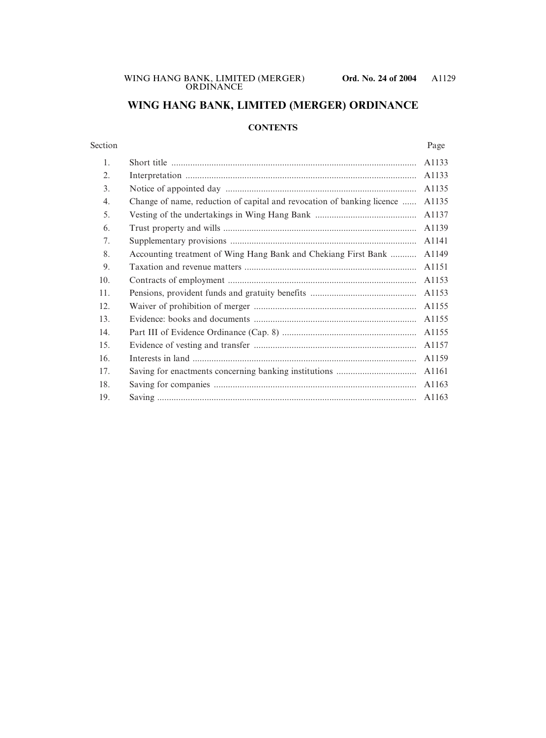# **WING HANG BANK, LIMITED (MERGER) ORDINANCE**

## **CONTENTS**

### Section Page

| 1.  |                                                                        | A1133 |
|-----|------------------------------------------------------------------------|-------|
| 2.  |                                                                        | A1133 |
| 3.  |                                                                        | A1135 |
| 4.  | Change of name, reduction of capital and revocation of banking licence | A1135 |
| 5.  |                                                                        | A1137 |
| 6.  |                                                                        | A1139 |
| 7.  |                                                                        | A1141 |
| 8.  | Accounting treatment of Wing Hang Bank and Chekiang First Bank         | A1149 |
| 9.  |                                                                        | A1151 |
| 10. |                                                                        | A1153 |
| 11. |                                                                        | A1153 |
| 12. |                                                                        | A1155 |
| 13. |                                                                        | A1155 |
| 14. |                                                                        | A1155 |
| 15. |                                                                        | A1157 |
| 16. |                                                                        | A1159 |
| 17. |                                                                        | A1161 |
| 18. |                                                                        | A1163 |
| 19. |                                                                        | A1163 |
|     |                                                                        |       |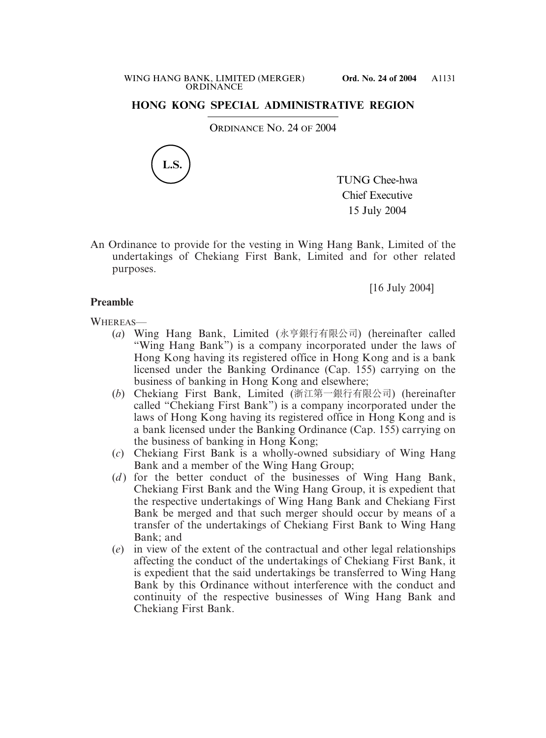## **HONG KONG SPECIAL ADMINISTRATIVE REGION**

ORDINANCE NO. 24 OF 2004



TUNG Chee-hwa Chief Executive 15 July 2004

An Ordinance to provide for the vesting in Wing Hang Bank, Limited of the undertakings of Chekiang First Bank, Limited and for other related purposes.

[16 July 2004]

## **Preamble**

WHEREAS—

- (*a*) Wing Hang Bank, Limited (永亨銀行有限公司) (hereinafter called "Wing Hang Bank") is a company incorporated under the laws of Hong Kong having its registered office in Hong Kong and is a bank licensed under the Banking Ordinance (Cap. 155) carrying on the business of banking in Hong Kong and elsewhere;
- (*b*) Chekiang First Bank, Limited (浙江第一銀行有限公司) (hereinafter called "Chekiang First Bank") is a company incorporated under the laws of Hong Kong having its registered office in Hong Kong and is a bank licensed under the Banking Ordinance (Cap. 155) carrying on the business of banking in Hong Kong;
- (*c*) Chekiang First Bank is a wholly-owned subsidiary of Wing Hang Bank and a member of the Wing Hang Group;
- (*d*) for the better conduct of the businesses of Wing Hang Bank, Chekiang First Bank and the Wing Hang Group, it is expedient that the respective undertakings of Wing Hang Bank and Chekiang First Bank be merged and that such merger should occur by means of a transfer of the undertakings of Chekiang First Bank to Wing Hang Bank; and
- (*e*) in view of the extent of the contractual and other legal relationships affecting the conduct of the undertakings of Chekiang First Bank, it is expedient that the said undertakings be transferred to Wing Hang Bank by this Ordinance without interference with the conduct and continuity of the respective businesses of Wing Hang Bank and Chekiang First Bank.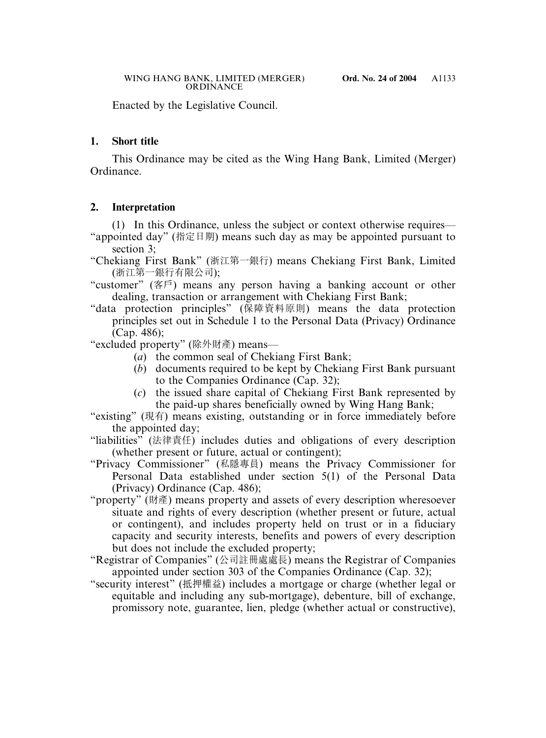Enacted by the Legislative Council.

## **1. Short title**

This Ordinance may be cited as the Wing Hang Bank, Limited (Merger) Ordinance.

## **2. Interpretation**

(1) In this Ordinance, unless the subject or context otherwise requires—

"appointed day" (指定日期) means such day as may be appointed pursuant to section 3;

"Chekiang First Bank" (浙江第一銀行) means Chekiang First Bank, Limited (浙江第一銀行有限公司);

"customer" (客戶) means any person having a banking account or other dealing, transaction or arrangement with Chekiang First Bank;

"data protection principles" (保障資料原則) means the data protection principles set out in Schedule 1 to the Personal Data (Privacy) Ordinance (Cap. 486);

"excluded property" (除外財產) means—

- (*a*) the common seal of Chekiang First Bank;
- (*b*) documents required to be kept by Chekiang First Bank pursuant to the Companies Ordinance (Cap. 32);
- (*c*) the issued share capital of Chekiang First Bank represented by the paid-up shares beneficially owned by Wing Hang Bank;

"existing" (現有) means existing, outstanding or in force immediately before the appointed day;

"liabilities" (法律責任) includes duties and obligations of every description (whether present or future, actual or contingent);

- "Privacy Commissioner" (私隱專員) means the Privacy Commissioner for Personal Data established under section 5(1) of the Personal Data (Privacy) Ordinance (Cap. 486);
- "property" (財產) means property and assets of every description wheresoever situate and rights of every description (whether present or future, actual or contingent), and includes property held on trust or in a fiduciary capacity and security interests, benefits and powers of every description but does not include the excluded property;
- "Registrar of Companies" (公司註冊處處長) means the Registrar of Companies appointed under section 303 of the Companies Ordinance (Cap. 32);
- "security interest" (抵押權益) includes a mortgage or charge (whether legal or equitable and including any sub-mortgage), debenture, bill of exchange, promissory note, guarantee, lien, pledge (whether actual or constructive),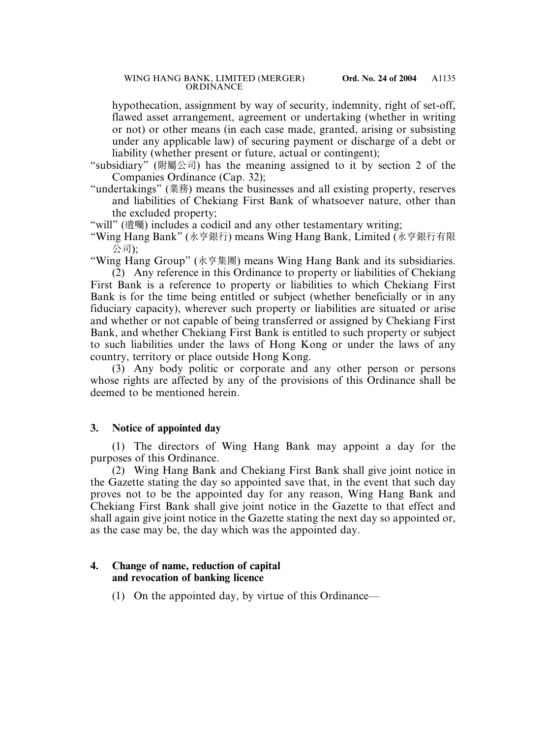hypothecation, assignment by way of security, indemnity, right of set-off, flawed asset arrangement, agreement or undertaking (whether in writing or not) or other means (in each case made, granted, arising or subsisting under any applicable law) of securing payment or discharge of a debt or liability (whether present or future, actual or contingent);

- "subsidiary" (附屬公司) has the meaning assigned to it by section 2 of the Companies Ordinance (Cap. 32);
- "undertakings" (業務) means the businesses and all existing property, reserves and liabilities of Chekiang First Bank of whatsoever nature, other than the excluded property;
- "will" (遺囑) includes a codicil and any other testamentary writing;
- "Wing Hang Bank" (永亨銀行) means Wing Hang Bank, Limited (永亨銀行有限 公司);

"Wing Hang Group" (永亨集團) means Wing Hang Bank and its subsidiaries.

(2) Any reference in this Ordinance to property or liabilities of Chekiang First Bank is a reference to property or liabilities to which Chekiang First Bank is for the time being entitled or subject (whether beneficially or in any fiduciary capacity), wherever such property or liabilities are situated or arise and whether or not capable of being transferred or assigned by Chekiang First Bank, and whether Chekiang First Bank is entitled to such property or subject to such liabilities under the laws of Hong Kong or under the laws of any country, territory or place outside Hong Kong.

(3) Any body politic or corporate and any other person or persons whose rights are affected by any of the provisions of this Ordinance shall be deemed to be mentioned herein.

## **3. Notice of appointed day**

(1) The directors of Wing Hang Bank may appoint a day for the purposes of this Ordinance.

(2) Wing Hang Bank and Chekiang First Bank shall give joint notice in the Gazette stating the day so appointed save that, in the event that such day proves not to be the appointed day for any reason, Wing Hang Bank and Chekiang First Bank shall give joint notice in the Gazette to that effect and shall again give joint notice in the Gazette stating the next day so appointed or, as the case may be, the day which was the appointed day.

## **4. Change of name, reduction of capital and revocation of banking licence**

(1) On the appointed day, by virtue of this Ordinance—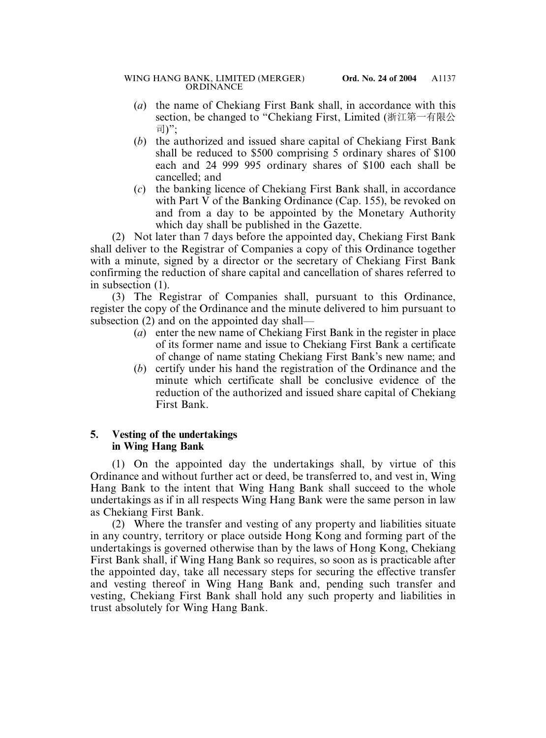- (*a*) the name of Chekiang First Bank shall, in accordance with this section, be changed to "Chekiang First, Limited (浙江第一有限公 司)";
- (*b*) the authorized and issued share capital of Chekiang First Bank shall be reduced to \$500 comprising 5 ordinary shares of \$100 each and 24 999 995 ordinary shares of \$100 each shall be cancelled; and
- (*c*) the banking licence of Chekiang First Bank shall, in accordance with Part V of the Banking Ordinance (Cap. 155), be revoked on and from a day to be appointed by the Monetary Authority which day shall be published in the Gazette.

(2) Not later than 7 days before the appointed day, Chekiang First Bank shall deliver to the Registrar of Companies a copy of this Ordinance together with a minute, signed by a director or the secretary of Chekiang First Bank confirming the reduction of share capital and cancellation of shares referred to in subsection (1).

(3) The Registrar of Companies shall, pursuant to this Ordinance, register the copy of the Ordinance and the minute delivered to him pursuant to subsection (2) and on the appointed day shall—

- (*a*) enter the new name of Chekiang First Bank in the register in place of its former name and issue to Chekiang First Bank a certificate of change of name stating Chekiang First Bank's new name; and
- (*b*) certify under his hand the registration of the Ordinance and the minute which certificate shall be conclusive evidence of the reduction of the authorized and issued share capital of Chekiang First Bank.

## **5. Vesting of the undertakings in Wing Hang Bank**

(1) On the appointed day the undertakings shall, by virtue of this Ordinance and without further act or deed, be transferred to, and vest in, Wing Hang Bank to the intent that Wing Hang Bank shall succeed to the whole undertakings as if in all respects Wing Hang Bank were the same person in law as Chekiang First Bank.

(2) Where the transfer and vesting of any property and liabilities situate in any country, territory or place outside Hong Kong and forming part of the undertakings is governed otherwise than by the laws of Hong Kong, Chekiang First Bank shall, if Wing Hang Bank so requires, so soon as is practicable after the appointed day, take all necessary steps for securing the effective transfer and vesting thereof in Wing Hang Bank and, pending such transfer and vesting, Chekiang First Bank shall hold any such property and liabilities in trust absolutely for Wing Hang Bank.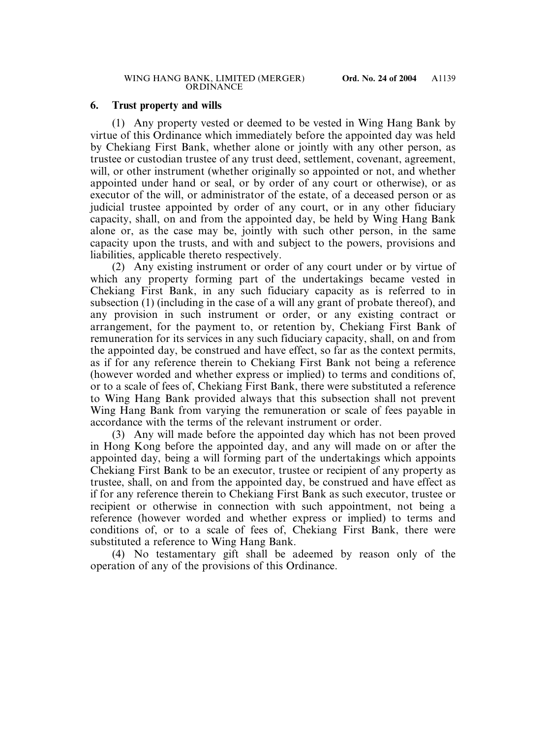## **6. Trust property and wills**

(1) Any property vested or deemed to be vested in Wing Hang Bank by virtue of this Ordinance which immediately before the appointed day was held by Chekiang First Bank, whether alone or jointly with any other person, as trustee or custodian trustee of any trust deed, settlement, covenant, agreement, will, or other instrument (whether originally so appointed or not, and whether appointed under hand or seal, or by order of any court or otherwise), or as executor of the will, or administrator of the estate, of a deceased person or as judicial trustee appointed by order of any court, or in any other fiduciary capacity, shall, on and from the appointed day, be held by Wing Hang Bank alone or, as the case may be, jointly with such other person, in the same capacity upon the trusts, and with and subject to the powers, provisions and liabilities, applicable thereto respectively.

(2) Any existing instrument or order of any court under or by virtue of which any property forming part of the undertakings became vested in Chekiang First Bank, in any such fiduciary capacity as is referred to in subsection (1) (including in the case of a will any grant of probate thereof), and any provision in such instrument or order, or any existing contract or arrangement, for the payment to, or retention by, Chekiang First Bank of remuneration for its services in any such fiduciary capacity, shall, on and from the appointed day, be construed and have effect, so far as the context permits, as if for any reference therein to Chekiang First Bank not being a reference (however worded and whether express or implied) to terms and conditions of, or to a scale of fees of, Chekiang First Bank, there were substituted a reference to Wing Hang Bank provided always that this subsection shall not prevent Wing Hang Bank from varying the remuneration or scale of fees payable in accordance with the terms of the relevant instrument or order.

(3) Any will made before the appointed day which has not been proved in Hong Kong before the appointed day, and any will made on or after the appointed day, being a will forming part of the undertakings which appoints Chekiang First Bank to be an executor, trustee or recipient of any property as trustee, shall, on and from the appointed day, be construed and have effect as if for any reference therein to Chekiang First Bank as such executor, trustee or recipient or otherwise in connection with such appointment, not being a reference (however worded and whether express or implied) to terms and conditions of, or to a scale of fees of, Chekiang First Bank, there were substituted a reference to Wing Hang Bank.

(4) No testamentary gift shall be adeemed by reason only of the operation of any of the provisions of this Ordinance.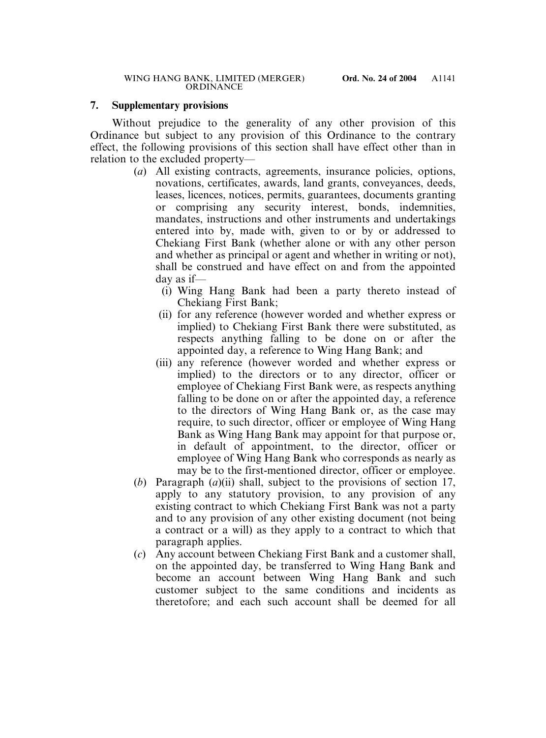## **7. Supplementary provisions**

Without prejudice to the generality of any other provision of this Ordinance but subject to any provision of this Ordinance to the contrary effect, the following provisions of this section shall have effect other than in relation to the excluded property—

- (*a*) All existing contracts, agreements, insurance policies, options, novations, certificates, awards, land grants, conveyances, deeds, leases, licences, notices, permits, guarantees, documents granting or comprising any security interest, bonds, indemnities, mandates, instructions and other instruments and undertakings entered into by, made with, given to or by or addressed to Chekiang First Bank (whether alone or with any other person and whether as principal or agent and whether in writing or not), shall be construed and have effect on and from the appointed day as if—
	- (i) Wing Hang Bank had been a party thereto instead of Chekiang First Bank;
	- (ii) for any reference (however worded and whether express or implied) to Chekiang First Bank there were substituted, as respects anything falling to be done on or after the appointed day, a reference to Wing Hang Bank; and
	- (iii) any reference (however worded and whether express or implied) to the directors or to any director, officer or employee of Chekiang First Bank were, as respects anything falling to be done on or after the appointed day, a reference to the directors of Wing Hang Bank or, as the case may require, to such director, officer or employee of Wing Hang Bank as Wing Hang Bank may appoint for that purpose or, in default of appointment, to the director, officer or employee of Wing Hang Bank who corresponds as nearly as may be to the first-mentioned director, officer or employee.
- (*b*) Paragraph (*a*)(ii) shall, subject to the provisions of section 17, apply to any statutory provision, to any provision of any existing contract to which Chekiang First Bank was not a party and to any provision of any other existing document (not being a contract or a will) as they apply to a contract to which that paragraph applies.
- (*c*) Any account between Chekiang First Bank and a customer shall, on the appointed day, be transferred to Wing Hang Bank and become an account between Wing Hang Bank and such customer subject to the same conditions and incidents as theretofore; and each such account shall be deemed for all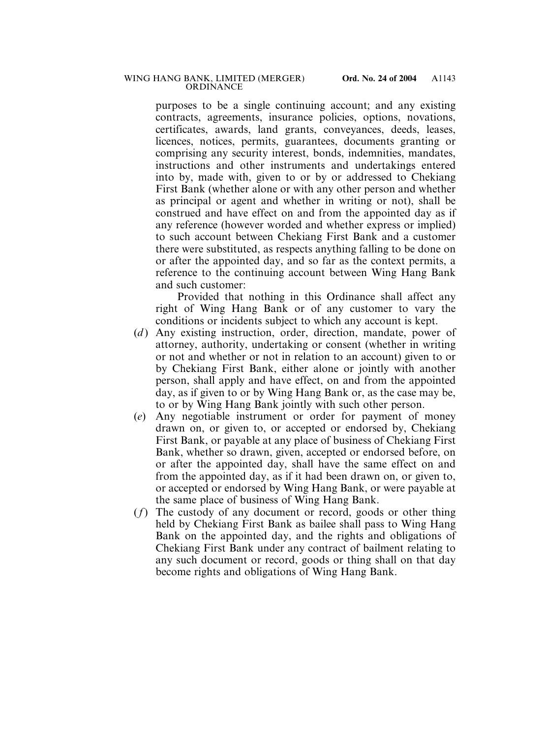purposes to be a single continuing account; and any existing contracts, agreements, insurance policies, options, novations, certificates, awards, land grants, conveyances, deeds, leases, licences, notices, permits, guarantees, documents granting or comprising any security interest, bonds, indemnities, mandates, instructions and other instruments and undertakings entered into by, made with, given to or by or addressed to Chekiang First Bank (whether alone or with any other person and whether as principal or agent and whether in writing or not), shall be construed and have effect on and from the appointed day as if any reference (however worded and whether express or implied) to such account between Chekiang First Bank and a customer there were substituted, as respects anything falling to be done on or after the appointed day, and so far as the context permits, a reference to the continuing account between Wing Hang Bank and such customer:

Provided that nothing in this Ordinance shall affect any right of Wing Hang Bank or of any customer to vary the conditions or incidents subject to which any account is kept.

- (*d*) Any existing instruction, order, direction, mandate, power of attorney, authority, undertaking or consent (whether in writing or not and whether or not in relation to an account) given to or by Chekiang First Bank, either alone or jointly with another person, shall apply and have effect, on and from the appointed day, as if given to or by Wing Hang Bank or, as the case may be, to or by Wing Hang Bank jointly with such other person.
- (*e*) Any negotiable instrument or order for payment of money drawn on, or given to, or accepted or endorsed by, Chekiang First Bank, or payable at any place of business of Chekiang First Bank, whether so drawn, given, accepted or endorsed before, on or after the appointed day, shall have the same effect on and from the appointed day, as if it had been drawn on, or given to, or accepted or endorsed by Wing Hang Bank, or were payable at the same place of business of Wing Hang Bank.
- (*f*) The custody of any document or record, goods or other thing held by Chekiang First Bank as bailee shall pass to Wing Hang Bank on the appointed day, and the rights and obligations of Chekiang First Bank under any contract of bailment relating to any such document or record, goods or thing shall on that day become rights and obligations of Wing Hang Bank.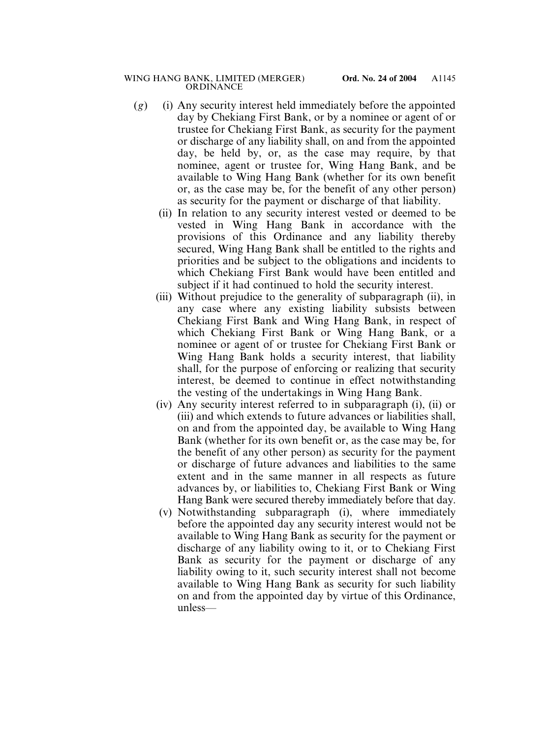- (*g*) (i) Any security interest held immediately before the appointed day by Chekiang First Bank, or by a nominee or agent of or trustee for Chekiang First Bank, as security for the payment or discharge of any liability shall, on and from the appointed day, be held by, or, as the case may require, by that nominee, agent or trustee for, Wing Hang Bank, and be available to Wing Hang Bank (whether for its own benefit or, as the case may be, for the benefit of any other person) as security for the payment or discharge of that liability.
	- (ii) In relation to any security interest vested or deemed to be vested in Wing Hang Bank in accordance with the provisions of this Ordinance and any liability thereby secured, Wing Hang Bank shall be entitled to the rights and priorities and be subject to the obligations and incidents to which Chekiang First Bank would have been entitled and subject if it had continued to hold the security interest.
	- (iii) Without prejudice to the generality of subparagraph (ii), in any case where any existing liability subsists between Chekiang First Bank and Wing Hang Bank, in respect of which Chekiang First Bank or Wing Hang Bank, or a nominee or agent of or trustee for Chekiang First Bank or Wing Hang Bank holds a security interest, that liability shall, for the purpose of enforcing or realizing that security interest, be deemed to continue in effect notwithstanding the vesting of the undertakings in Wing Hang Bank.
	- (iv) Any security interest referred to in subparagraph (i), (ii) or (iii) and which extends to future advances or liabilities shall, on and from the appointed day, be available to Wing Hang Bank (whether for its own benefit or, as the case may be, for the benefit of any other person) as security for the payment or discharge of future advances and liabilities to the same extent and in the same manner in all respects as future advances by, or liabilities to, Chekiang First Bank or Wing Hang Bank were secured thereby immediately before that day.
	- (v) Notwithstanding subparagraph (i), where immediately before the appointed day any security interest would not be available to Wing Hang Bank as security for the payment or discharge of any liability owing to it, or to Chekiang First Bank as security for the payment or discharge of any liability owing to it, such security interest shall not become available to Wing Hang Bank as security for such liability on and from the appointed day by virtue of this Ordinance, unless—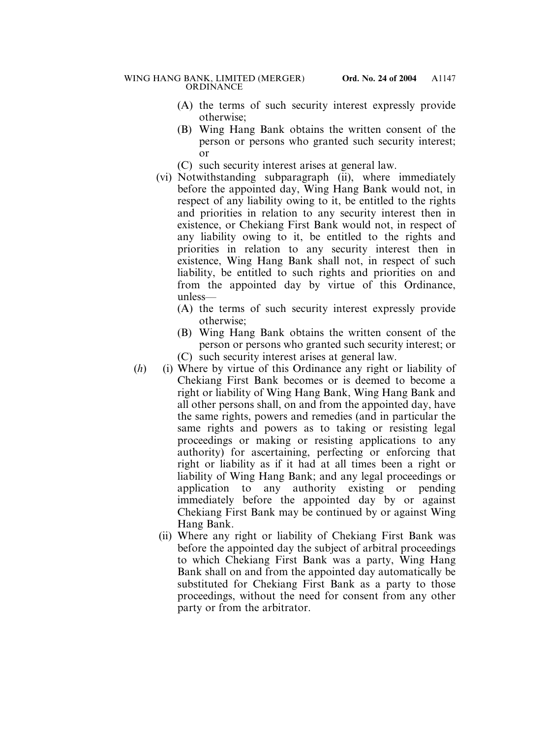- (A) the terms of such security interest expressly provide otherwise;
- (B) Wing Hang Bank obtains the written consent of the person or persons who granted such security interest; or
- (C) such security interest arises at general law.
- (vi) Notwithstanding subparagraph (ii), where immediately before the appointed day, Wing Hang Bank would not, in respect of any liability owing to it, be entitled to the rights and priorities in relation to any security interest then in existence, or Chekiang First Bank would not, in respect of any liability owing to it, be entitled to the rights and priorities in relation to any security interest then in existence, Wing Hang Bank shall not, in respect of such liability, be entitled to such rights and priorities on and from the appointed day by virtue of this Ordinance, unless—
	- (A) the terms of such security interest expressly provide otherwise;
	- (B) Wing Hang Bank obtains the written consent of the person or persons who granted such security interest; or (C) such security interest arises at general law.
- (*h*) (i) Where by virtue of this Ordinance any right or liability of Chekiang First Bank becomes or is deemed to become a right or liability of Wing Hang Bank, Wing Hang Bank and all other persons shall, on and from the appointed day, have the same rights, powers and remedies (and in particular the same rights and powers as to taking or resisting legal proceedings or making or resisting applications to any authority) for ascertaining, perfecting or enforcing that right or liability as if it had at all times been a right or liability of Wing Hang Bank; and any legal proceedings or application to any authority existing or pending immediately before the appointed day by or against Chekiang First Bank may be continued by or against Wing Hang Bank.
	- (ii) Where any right or liability of Chekiang First Bank was before the appointed day the subject of arbitral proceedings to which Chekiang First Bank was a party, Wing Hang Bank shall on and from the appointed day automatically be substituted for Chekiang First Bank as a party to those proceedings, without the need for consent from any other party or from the arbitrator.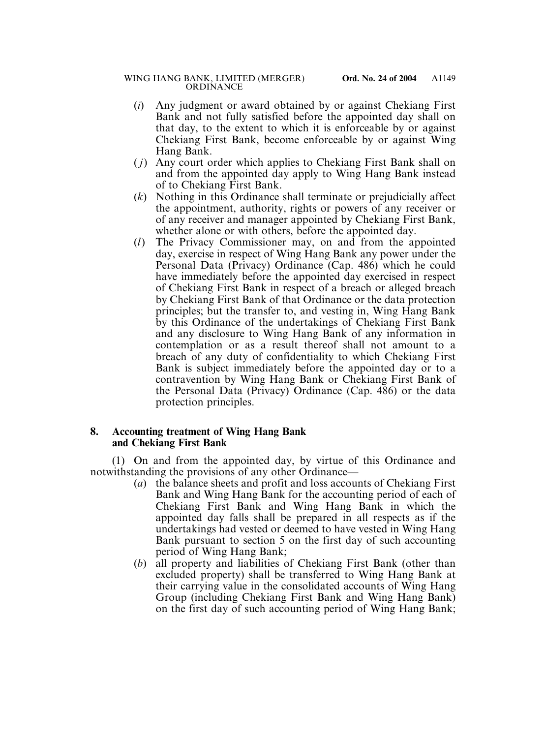- (*i*) Any judgment or award obtained by or against Chekiang First Bank and not fully satisfied before the appointed day shall on that day, to the extent to which it is enforceable by or against Chekiang First Bank, become enforceable by or against Wing Hang Bank.
- ( *j*) Any court order which applies to Chekiang First Bank shall on and from the appointed day apply to Wing Hang Bank instead of to Chekiang First Bank.
- (*k*) Nothing in this Ordinance shall terminate or prejudicially affect the appointment, authority, rights or powers of any receiver or of any receiver and manager appointed by Chekiang First Bank, whether alone or with others, before the appointed day.
- (*l*) The Privacy Commissioner may, on and from the appointed day, exercise in respect of Wing Hang Bank any power under the Personal Data (Privacy) Ordinance (Cap. 486) which he could have immediately before the appointed day exercised in respect of Chekiang First Bank in respect of a breach or alleged breach by Chekiang First Bank of that Ordinance or the data protection principles; but the transfer to, and vesting in, Wing Hang Bank by this Ordinance of the undertakings of Chekiang First Bank and any disclosure to Wing Hang Bank of any information in contemplation or as a result thereof shall not amount to a breach of any duty of confidentiality to which Chekiang First Bank is subject immediately before the appointed day or to a contravention by Wing Hang Bank or Chekiang First Bank of the Personal Data (Privacy) Ordinance (Cap. 486) or the data protection principles.

## **8. Accounting treatment of Wing Hang Bank and Chekiang First Bank**

(1) On and from the appointed day, by virtue of this Ordinance and notwithstanding the provisions of any other Ordinance—

- (*a*) the balance sheets and profit and loss accounts of Chekiang First Bank and Wing Hang Bank for the accounting period of each of Chekiang First Bank and Wing Hang Bank in which the appointed day falls shall be prepared in all respects as if the undertakings had vested or deemed to have vested in Wing Hang Bank pursuant to section 5 on the first day of such accounting period of Wing Hang Bank;
- (*b*) all property and liabilities of Chekiang First Bank (other than excluded property) shall be transferred to Wing Hang Bank at their carrying value in the consolidated accounts of Wing Hang Group (including Chekiang First Bank and Wing Hang Bank) on the first day of such accounting period of Wing Hang Bank;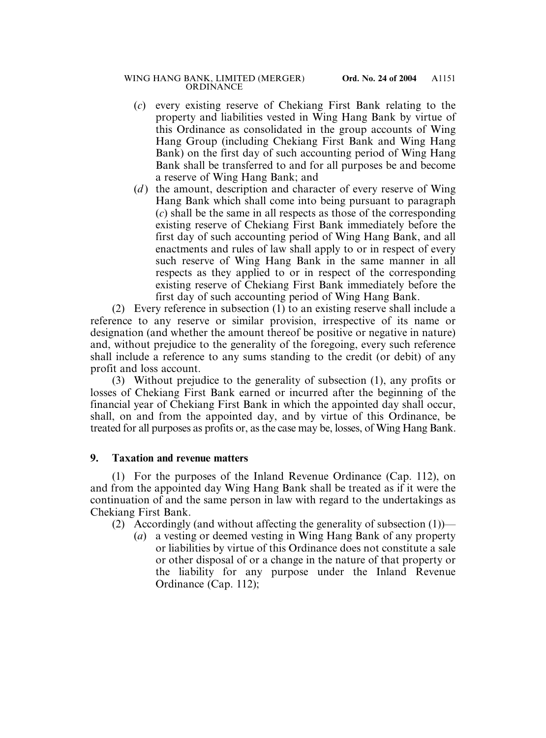### WING HANG BANK, LIMITED (MERGER) **Ord. No. 24 of 2004** ORDINANCE

- (*c*) every existing reserve of Chekiang First Bank relating to the property and liabilities vested in Wing Hang Bank by virtue of this Ordinance as consolidated in the group accounts of Wing Hang Group (including Chekiang First Bank and Wing Hang Bank) on the first day of such accounting period of Wing Hang Bank shall be transferred to and for all purposes be and become a reserve of Wing Hang Bank; and
- (*d*) the amount, description and character of every reserve of Wing Hang Bank which shall come into being pursuant to paragraph (*c*) shall be the same in all respects as those of the corresponding existing reserve of Chekiang First Bank immediately before the first day of such accounting period of Wing Hang Bank, and all enactments and rules of law shall apply to or in respect of every such reserve of Wing Hang Bank in the same manner in all respects as they applied to or in respect of the corresponding existing reserve of Chekiang First Bank immediately before the first day of such accounting period of Wing Hang Bank.

(2) Every reference in subsection (1) to an existing reserve shall include a reference to any reserve or similar provision, irrespective of its name or designation (and whether the amount thereof be positive or negative in nature) and, without prejudice to the generality of the foregoing, every such reference shall include a reference to any sums standing to the credit (or debit) of any profit and loss account.

(3) Without prejudice to the generality of subsection (1), any profits or losses of Chekiang First Bank earned or incurred after the beginning of the financial year of Chekiang First Bank in which the appointed day shall occur, shall, on and from the appointed day, and by virtue of this Ordinance, be treated for all purposes as profits or, as the case may be, losses, of Wing Hang Bank.

## **9. Taxation and revenue matters**

(1) For the purposes of the Inland Revenue Ordinance (Cap. 112), on and from the appointed day Wing Hang Bank shall be treated as if it were the continuation of and the same person in law with regard to the undertakings as Chekiang First Bank.

- (2) Accordingly (and without affecting the generality of subsection  $(1)$ )—
	- (*a*) a vesting or deemed vesting in Wing Hang Bank of any property or liabilities by virtue of this Ordinance does not constitute a sale or other disposal of or a change in the nature of that property or the liability for any purpose under the Inland Revenue Ordinance (Cap. 112);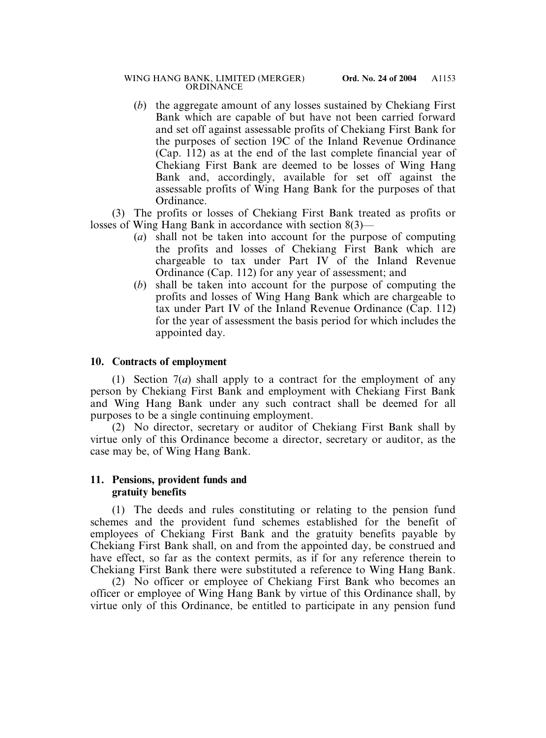(*b*) the aggregate amount of any losses sustained by Chekiang First Bank which are capable of but have not been carried forward and set off against assessable profits of Chekiang First Bank for the purposes of section 19C of the Inland Revenue Ordinance (Cap. 112) as at the end of the last complete financial year of Chekiang First Bank are deemed to be losses of Wing Hang Bank and, accordingly, available for set off against the assessable profits of Wing Hang Bank for the purposes of that Ordinance.

(3) The profits or losses of Chekiang First Bank treated as profits or losses of Wing Hang Bank in accordance with section 8(3)—

- (*a*) shall not be taken into account for the purpose of computing the profits and losses of Chekiang First Bank which are chargeable to tax under Part IV of the Inland Revenue Ordinance (Cap. 112) for any year of assessment; and
- (*b*) shall be taken into account for the purpose of computing the profits and losses of Wing Hang Bank which are chargeable to tax under Part IV of the Inland Revenue Ordinance (Cap. 112) for the year of assessment the basis period for which includes the appointed day.

## **10. Contracts of employment**

(1) Section 7(*a*) shall apply to a contract for the employment of any person by Chekiang First Bank and employment with Chekiang First Bank and Wing Hang Bank under any such contract shall be deemed for all purposes to be a single continuing employment.

(2) No director, secretary or auditor of Chekiang First Bank shall by virtue only of this Ordinance become a director, secretary or auditor, as the case may be, of Wing Hang Bank.

## **11. Pensions, provident funds and gratuity benefits**

(1) The deeds and rules constituting or relating to the pension fund schemes and the provident fund schemes established for the benefit of employees of Chekiang First Bank and the gratuity benefits payable by Chekiang First Bank shall, on and from the appointed day, be construed and have effect, so far as the context permits, as if for any reference therein to Chekiang First Bank there were substituted a reference to Wing Hang Bank.

(2) No officer or employee of Chekiang First Bank who becomes an officer or employee of Wing Hang Bank by virtue of this Ordinance shall, by virtue only of this Ordinance, be entitled to participate in any pension fund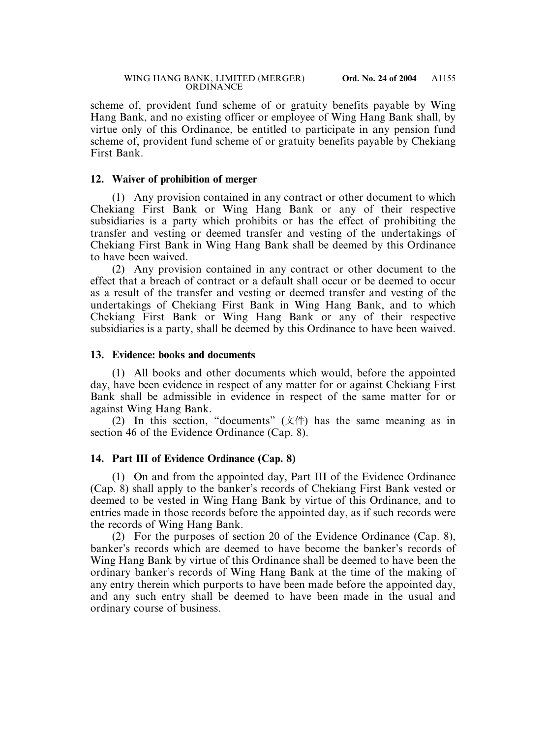scheme of, provident fund scheme of or gratuity benefits payable by Wing Hang Bank, and no existing officer or employee of Wing Hang Bank shall, by virtue only of this Ordinance, be entitled to participate in any pension fund scheme of, provident fund scheme of or gratuity benefits payable by Chekiang First Bank.

## **12. Waiver of prohibition of merger**

(1) Any provision contained in any contract or other document to which Chekiang First Bank or Wing Hang Bank or any of their respective subsidiaries is a party which prohibits or has the effect of prohibiting the transfer and vesting or deemed transfer and vesting of the undertakings of Chekiang First Bank in Wing Hang Bank shall be deemed by this Ordinance to have been waived.

(2) Any provision contained in any contract or other document to the effect that a breach of contract or a default shall occur or be deemed to occur as a result of the transfer and vesting or deemed transfer and vesting of the undertakings of Chekiang First Bank in Wing Hang Bank, and to which Chekiang First Bank or Wing Hang Bank or any of their respective subsidiaries is a party, shall be deemed by this Ordinance to have been waived.

## **13. Evidence: books and documents**

(1) All books and other documents which would, before the appointed day, have been evidence in respect of any matter for or against Chekiang First Bank shall be admissible in evidence in respect of the same matter for or against Wing Hang Bank.

(2) In this section, "documents" (文件) has the same meaning as in section 46 of the Evidence Ordinance (Cap. 8).

## **14. Part III of Evidence Ordinance (Cap. 8)**

(1) On and from the appointed day, Part III of the Evidence Ordinance (Cap. 8) shall apply to the banker's records of Chekiang First Bank vested or deemed to be vested in Wing Hang Bank by virtue of this Ordinance, and to entries made in those records before the appointed day, as if such records were the records of Wing Hang Bank.

(2) For the purposes of section 20 of the Evidence Ordinance (Cap. 8), banker's records which are deemed to have become the banker's records of Wing Hang Bank by virtue of this Ordinance shall be deemed to have been the ordinary banker's records of Wing Hang Bank at the time of the making of any entry therein which purports to have been made before the appointed day, and any such entry shall be deemed to have been made in the usual and ordinary course of business.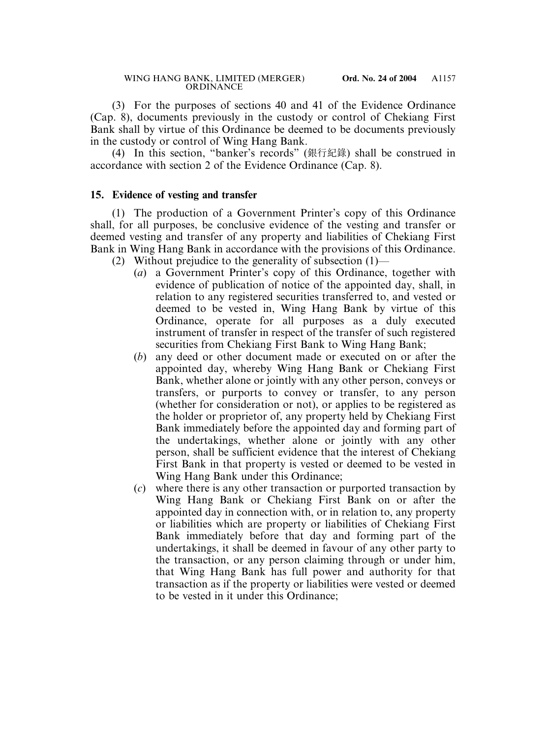(3) For the purposes of sections 40 and 41 of the Evidence Ordinance (Cap. 8), documents previously in the custody or control of Chekiang First Bank shall by virtue of this Ordinance be deemed to be documents previously in the custody or control of Wing Hang Bank.

(4) In this section, "banker's records" (銀行紀錄) shall be construed in accordance with section 2 of the Evidence Ordinance (Cap. 8).

## **15. Evidence of vesting and transfer**

(1) The production of a Government Printer's copy of this Ordinance shall, for all purposes, be conclusive evidence of the vesting and transfer or deemed vesting and transfer of any property and liabilities of Chekiang First Bank in Wing Hang Bank in accordance with the provisions of this Ordinance.

- (2) Without prejudice to the generality of subsection (1)—
	- (*a*) a Government Printer's copy of this Ordinance, together with evidence of publication of notice of the appointed day, shall, in relation to any registered securities transferred to, and vested or deemed to be vested in, Wing Hang Bank by virtue of this Ordinance, operate for all purposes as a duly executed instrument of transfer in respect of the transfer of such registered securities from Chekiang First Bank to Wing Hang Bank;
	- (*b*) any deed or other document made or executed on or after the appointed day, whereby Wing Hang Bank or Chekiang First Bank, whether alone or jointly with any other person, conveys or transfers, or purports to convey or transfer, to any person (whether for consideration or not), or applies to be registered as the holder or proprietor of, any property held by Chekiang First Bank immediately before the appointed day and forming part of the undertakings, whether alone or jointly with any other person, shall be sufficient evidence that the interest of Chekiang First Bank in that property is vested or deemed to be vested in Wing Hang Bank under this Ordinance;
	- (*c*) where there is any other transaction or purported transaction by Wing Hang Bank or Chekiang First Bank on or after the appointed day in connection with, or in relation to, any property or liabilities which are property or liabilities of Chekiang First Bank immediately before that day and forming part of the undertakings, it shall be deemed in favour of any other party to the transaction, or any person claiming through or under him, that Wing Hang Bank has full power and authority for that transaction as if the property or liabilities were vested or deemed to be vested in it under this Ordinance;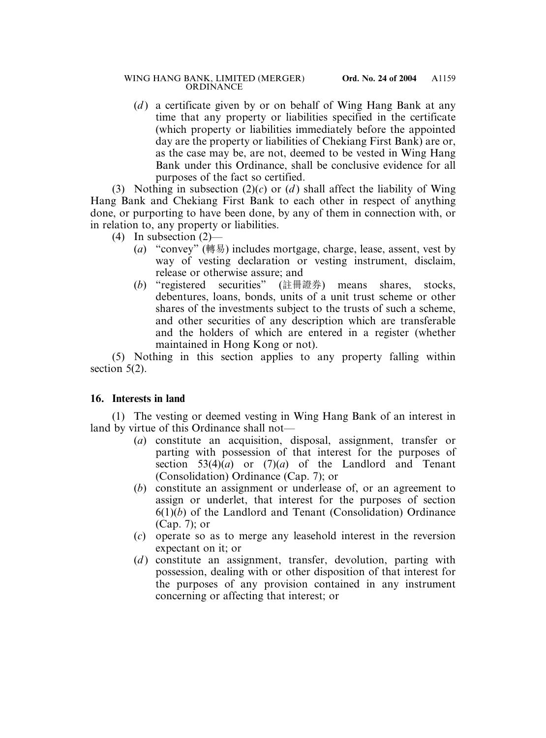(*d*) a certificate given by or on behalf of Wing Hang Bank at any time that any property or liabilities specified in the certificate (which property or liabilities immediately before the appointed day are the property or liabilities of Chekiang First Bank) are or, as the case may be, are not, deemed to be vested in Wing Hang Bank under this Ordinance, shall be conclusive evidence for all purposes of the fact so certified.

(3) Nothing in subsection  $(2)(c)$  or  $(d)$  shall affect the liability of Wing Hang Bank and Chekiang First Bank to each other in respect of anything done, or purporting to have been done, by any of them in connection with, or in relation to, any property or liabilities.

- (4) In subsection  $(2)$ 
	- (*a*) "convey" (轉易) includes mortgage, charge, lease, assent, vest by way of vesting declaration or vesting instrument, disclaim, release or otherwise assure; and
	- (*b*) "registered securities" (註冊證券) means shares, stocks, debentures, loans, bonds, units of a unit trust scheme or other shares of the investments subject to the trusts of such a scheme, and other securities of any description which are transferable and the holders of which are entered in a register (whether maintained in Hong Kong or not).

(5) Nothing in this section applies to any property falling within section 5(2).

## **16. Interests in land**

(1) The vesting or deemed vesting in Wing Hang Bank of an interest in land by virtue of this Ordinance shall not—

- (*a*) constitute an acquisition, disposal, assignment, transfer or parting with possession of that interest for the purposes of section  $53(4)(a)$  or  $(7)(a)$  of the Landlord and Tenant (Consolidation) Ordinance (Cap. 7); or
- (*b*) constitute an assignment or underlease of, or an agreement to assign or underlet, that interest for the purposes of section 6(1)(*b*) of the Landlord and Tenant (Consolidation) Ordinance (Cap. 7); or
- (*c*) operate so as to merge any leasehold interest in the reversion expectant on it; or
- (*d*) constitute an assignment, transfer, devolution, parting with possession, dealing with or other disposition of that interest for the purposes of any provision contained in any instrument concerning or affecting that interest; or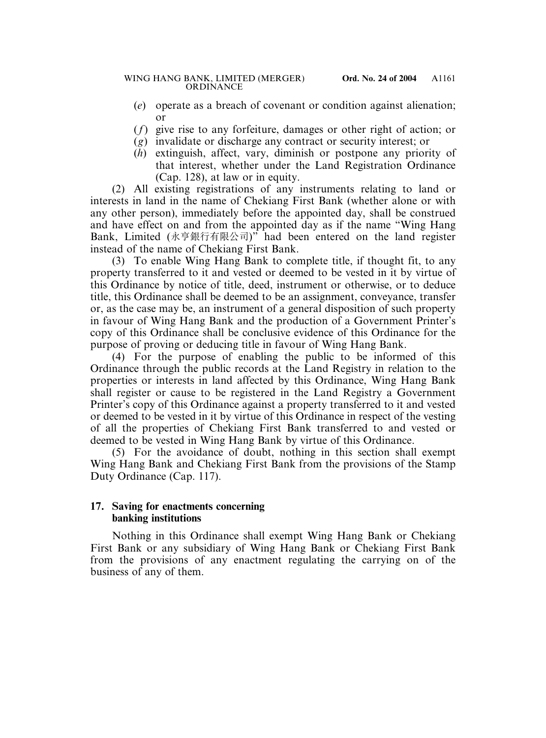- (*e*) operate as a breach of covenant or condition against alienation; or
- (*f*) give rise to any forfeiture, damages or other right of action; or
- (*g*) invalidate or discharge any contract or security interest; or
- (*h*) extinguish, affect, vary, diminish or postpone any priority of that interest, whether under the Land Registration Ordinance (Cap. 128), at law or in equity.

(2) All existing registrations of any instruments relating to land or interests in land in the name of Chekiang First Bank (whether alone or with any other person), immediately before the appointed day, shall be construed and have effect on and from the appointed day as if the name "Wing Hang Bank, Limited (永亨銀行有限公司)" had been entered on the land register instead of the name of Chekiang First Bank.

(3) To enable Wing Hang Bank to complete title, if thought fit, to any property transferred to it and vested or deemed to be vested in it by virtue of this Ordinance by notice of title, deed, instrument or otherwise, or to deduce title, this Ordinance shall be deemed to be an assignment, conveyance, transfer or, as the case may be, an instrument of a general disposition of such property in favour of Wing Hang Bank and the production of a Government Printer's copy of this Ordinance shall be conclusive evidence of this Ordinance for the purpose of proving or deducing title in favour of Wing Hang Bank.

(4) For the purpose of enabling the public to be informed of this Ordinance through the public records at the Land Registry in relation to the properties or interests in land affected by this Ordinance, Wing Hang Bank shall register or cause to be registered in the Land Registry a Government Printer's copy of this Ordinance against a property transferred to it and vested or deemed to be vested in it by virtue of this Ordinance in respect of the vesting of all the properties of Chekiang First Bank transferred to and vested or deemed to be vested in Wing Hang Bank by virtue of this Ordinance.

(5) For the avoidance of doubt, nothing in this section shall exempt Wing Hang Bank and Chekiang First Bank from the provisions of the Stamp Duty Ordinance (Cap. 117).

## **17. Saving for enactments concerning banking institutions**

Nothing in this Ordinance shall exempt Wing Hang Bank or Chekiang First Bank or any subsidiary of Wing Hang Bank or Chekiang First Bank from the provisions of any enactment regulating the carrying on of the business of any of them.